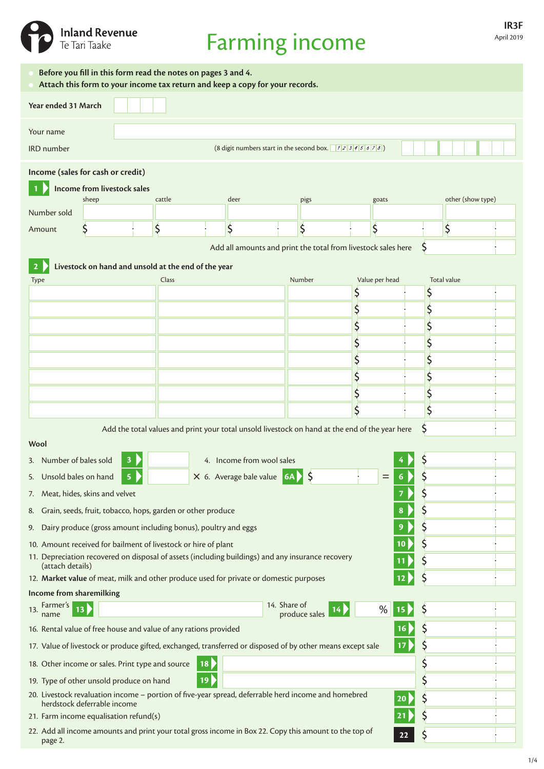

# Farming income

| Before you fill in this form read the notes on pages 3 and 4.<br>Attach this form to your income tax return and keep a copy for your records.                                        |                                                                                                                   |                         |                                                                |                                                                                                |                                                        |     |         |    |                   |  |  |  |  |
|--------------------------------------------------------------------------------------------------------------------------------------------------------------------------------------|-------------------------------------------------------------------------------------------------------------------|-------------------------|----------------------------------------------------------------|------------------------------------------------------------------------------------------------|--------------------------------------------------------|-----|---------|----|-------------------|--|--|--|--|
| Year ended 31 March                                                                                                                                                                  |                                                                                                                   |                         |                                                                |                                                                                                |                                                        |     |         |    |                   |  |  |  |  |
| Your name                                                                                                                                                                            |                                                                                                                   |                         |                                                                |                                                                                                |                                                        |     |         |    |                   |  |  |  |  |
| <b>IRD</b> number                                                                                                                                                                    |                                                                                                                   |                         |                                                                |                                                                                                | (8 digit numbers start in the second box. $12345678$ ) |     |         |    |                   |  |  |  |  |
| Income (sales for cash or credit)                                                                                                                                                    |                                                                                                                   |                         |                                                                |                                                                                                |                                                        |     |         |    |                   |  |  |  |  |
|                                                                                                                                                                                      | Income from livestock sales                                                                                       |                         |                                                                |                                                                                                |                                                        |     |         |    |                   |  |  |  |  |
| Number sold                                                                                                                                                                          | sheep                                                                                                             |                         | cattle                                                         | deer                                                                                           | pigs                                                   |     | goats   |    | other (show type) |  |  |  |  |
| Amount                                                                                                                                                                               | \$                                                                                                                |                         | \$                                                             | \$                                                                                             | \$                                                     |     | \$      | \$ |                   |  |  |  |  |
|                                                                                                                                                                                      |                                                                                                                   |                         |                                                                |                                                                                                |                                                        |     |         |    |                   |  |  |  |  |
| Add all amounts and print the total from livestock sales here<br>S                                                                                                                   |                                                                                                                   |                         |                                                                |                                                                                                |                                                        |     |         |    |                   |  |  |  |  |
| Livestock on hand and unsold at the end of the year<br>$\mathbf{z}$<br>Value per head<br>Number<br>Total value                                                                       |                                                                                                                   |                         |                                                                |                                                                                                |                                                        |     |         |    |                   |  |  |  |  |
| <b>Type</b>                                                                                                                                                                          |                                                                                                                   |                         | Class                                                          |                                                                                                |                                                        |     |         |    |                   |  |  |  |  |
|                                                                                                                                                                                      |                                                                                                                   |                         |                                                                |                                                                                                |                                                        |     |         |    |                   |  |  |  |  |
|                                                                                                                                                                                      |                                                                                                                   |                         |                                                                |                                                                                                |                                                        |     |         |    |                   |  |  |  |  |
|                                                                                                                                                                                      |                                                                                                                   |                         |                                                                |                                                                                                |                                                        |     |         |    |                   |  |  |  |  |
|                                                                                                                                                                                      |                                                                                                                   |                         |                                                                |                                                                                                |                                                        |     |         |    |                   |  |  |  |  |
|                                                                                                                                                                                      |                                                                                                                   |                         |                                                                |                                                                                                |                                                        |     |         |    |                   |  |  |  |  |
|                                                                                                                                                                                      |                                                                                                                   |                         |                                                                |                                                                                                |                                                        |     |         |    |                   |  |  |  |  |
|                                                                                                                                                                                      |                                                                                                                   |                         |                                                                |                                                                                                |                                                        |     |         |    |                   |  |  |  |  |
|                                                                                                                                                                                      |                                                                                                                   |                         |                                                                |                                                                                                |                                                        |     |         | S  |                   |  |  |  |  |
| Wool                                                                                                                                                                                 |                                                                                                                   |                         |                                                                | Add the total values and print your total unsold livestock on hand at the end of the year here |                                                        |     |         |    |                   |  |  |  |  |
| 3. Number of bales sold                                                                                                                                                              |                                                                                                                   | 3                       |                                                                | 4. Income from wool sales                                                                      |                                                        |     |         |    |                   |  |  |  |  |
| Unsold bales on hand<br>5.                                                                                                                                                           |                                                                                                                   | $\overline{\mathbf{5}}$ |                                                                | $\times$ 6. Average bale value 6A $\leftarrow$ \$                                              |                                                        |     |         |    |                   |  |  |  |  |
| 7. Meat, hides, skins and velvet                                                                                                                                                     |                                                                                                                   |                         |                                                                |                                                                                                |                                                        |     |         |    |                   |  |  |  |  |
| 8.                                                                                                                                                                                   |                                                                                                                   |                         | Grain, seeds, fruit, tobacco, hops, garden or other produce    |                                                                                                |                                                        |     | 8       |    |                   |  |  |  |  |
| 9.                                                                                                                                                                                   |                                                                                                                   |                         | Dairy produce (gross amount including bonus), poultry and eggs |                                                                                                |                                                        |     |         |    |                   |  |  |  |  |
|                                                                                                                                                                                      |                                                                                                                   |                         |                                                                |                                                                                                |                                                        |     | 10      |    |                   |  |  |  |  |
| 10. Amount received for bailment of livestock or hire of plant<br>11. Depreciation recovered on disposal of assets (including buildings) and any insurance recovery                  |                                                                                                                   |                         |                                                                |                                                                                                |                                                        |     |         |    |                   |  |  |  |  |
| (attach details)                                                                                                                                                                     |                                                                                                                   |                         |                                                                | 12. Market value of meat, milk and other produce used for private or domestic purposes         |                                                        |     |         |    |                   |  |  |  |  |
| Income from sharemilking                                                                                                                                                             |                                                                                                                   |                         |                                                                |                                                                                                |                                                        |     |         |    |                   |  |  |  |  |
| 13. Farmer's                                                                                                                                                                         | 13                                                                                                                |                         |                                                                |                                                                                                | 14. Share of                                           | 14) | %<br>15 | Ş  |                   |  |  |  |  |
| name                                                                                                                                                                                 |                                                                                                                   |                         |                                                                |                                                                                                | produce sales                                          |     |         |    |                   |  |  |  |  |
| 16. Rental value of free house and value of any rations provided<br>16<br>17. Value of livestock or produce gifted, exchanged, transferred or disposed of by other means except sale |                                                                                                                   |                         |                                                                |                                                                                                |                                                        |     |         |    |                   |  |  |  |  |
|                                                                                                                                                                                      |                                                                                                                   |                         |                                                                |                                                                                                |                                                        |     | 17      | Ş  |                   |  |  |  |  |
| 18. Other income or sales. Print type and source                                                                                                                                     |                                                                                                                   |                         |                                                                | 18                                                                                             |                                                        |     |         | Ş  |                   |  |  |  |  |
| 19. Type of other unsold produce on hand                                                                                                                                             |                                                                                                                   |                         |                                                                | 19                                                                                             |                                                        |     |         | \$ |                   |  |  |  |  |
| 20. Livestock revaluation income - portion of five-year spread, deferrable herd income and homebred<br>20<br>herdstock deferrable income                                             |                                                                                                                   |                         |                                                                |                                                                                                |                                                        |     |         |    |                   |  |  |  |  |
|                                                                                                                                                                                      | 21. Farm income equalisation refund(s)                                                                            |                         |                                                                |                                                                                                |                                                        |     |         |    |                   |  |  |  |  |
| page 2.                                                                                                                                                                              | 22. Add all income amounts and print your total gross income in Box 22. Copy this amount to the top of<br>Ş<br>22 |                         |                                                                |                                                                                                |                                                        |     |         |    |                   |  |  |  |  |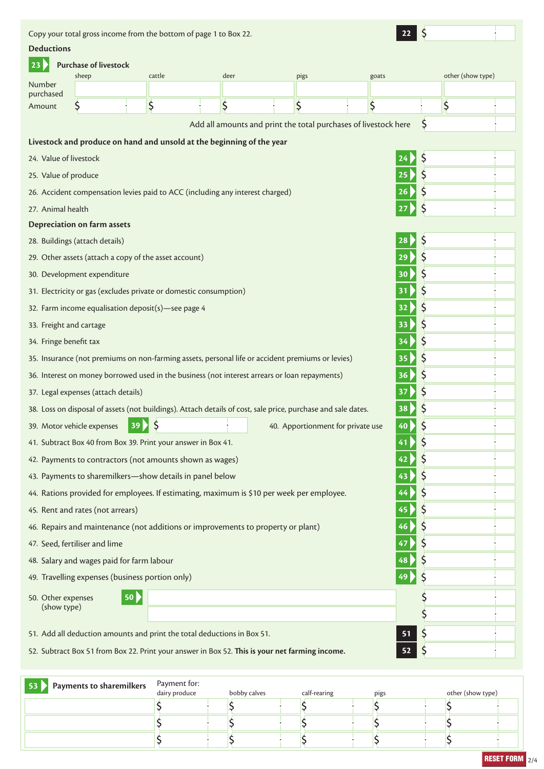Copy your total gross income from the bottom of page 1 to Box 22. **22 Deductions 23 Purchase of livestock** sheep cattle cattle deer pigs goats other (show type) Number purchased  $\zeta$  $\overline{\mathsf{S}}$  $\overline{\mathsf{S}}$ \$  $\zeta$  $\overline{\mathsf{S}}$ Amount Add all amounts and print the total purchases of livestock here  $\zeta$ **Livestock and produce on hand and unsold at the beginning of the year** 24. Value of livestock **24** \$ \$ 25. Value of produce **25**  $\zeta$ 26. Accident compensation levies paid to ACC (including any interest charged) **26** 27. Animal health **27** Ś **Depreciation on farm assets** 28. Buildings (attach details) **28** \$  $\zeta$ 29. Other assets (attach a copy of the asset account) **29**  $\zeta$ 30. Development expenditure **30** \$ 31. Electricity or gas (excludes private or domestic consumption) **31**  $\zeta$ 32. Farm income equalisation deposit(s)—see page 4 **32** \$ 33. Freight and cartage **33**  $\overline{\mathsf{S}}$ 34. Fringe benefit tax **34**  $\zeta$ 35. Insurance (not premiums on non-farming assets, personal life or accident premiums or levies) **35** 36. Interest on money borrowed used in the business (not interest arrears or loan repayments) **36**  $\zeta$  $\zeta$ 37. Legal expenses (attach details) **37**  $\overline{\mathsf{S}}$ 38. Loss on disposal of assets (not buildings). Attach details of cost, sale price, purchase and sale dates. **38**  $\zeta$ 39. Motor vehicle expenses **39** 40. Apportionment for private use **40** \$ 41. Subtract Box 40 from Box 39. Print your answer in Box 41. **41**  $\zeta$ 42. Payments to contractors (not amounts shown as wages) **42** 43. Payments to sharemilkers—show details in panel below **43**  $\zeta$  $\zeta$ 44. Rations provided for employees. If estimating, maximum is \$10 per week per employee. **44**  $\zeta$ 45. Rent and rates (not arrears) **45** \$ 46. Repairs and maintenance (not additions or improvements to property or plant) **46** \$ 47. Seed, fertiliser and lime **47**  $\zeta$ 48. Salary and wages paid for farm labour **48**  $\overline{\mathsf{S}}$ 49. Travelling expenses (business portion only) **49**  $\overline{\mathsf{S}}$ 50. Other expenses **50** (show type) Ś Ś 51. Add all deduction amounts and print the total deductions in Box 51. **51**  $\zeta$ 

52. Subtract Box 51 from Box 22. Print your answer in Box 52. **This is your net farming income. 52**

| Payments to sharemilkers<br>53 | Payment for:<br>dairy produce |  | bobby calves | calf-rearing | pigs | other (show type) |  |
|--------------------------------|-------------------------------|--|--------------|--------------|------|-------------------|--|
|                                |                               |  |              |              |      |                   |  |
|                                |                               |  |              |              |      |                   |  |
|                                |                               |  |              |              |      |                   |  |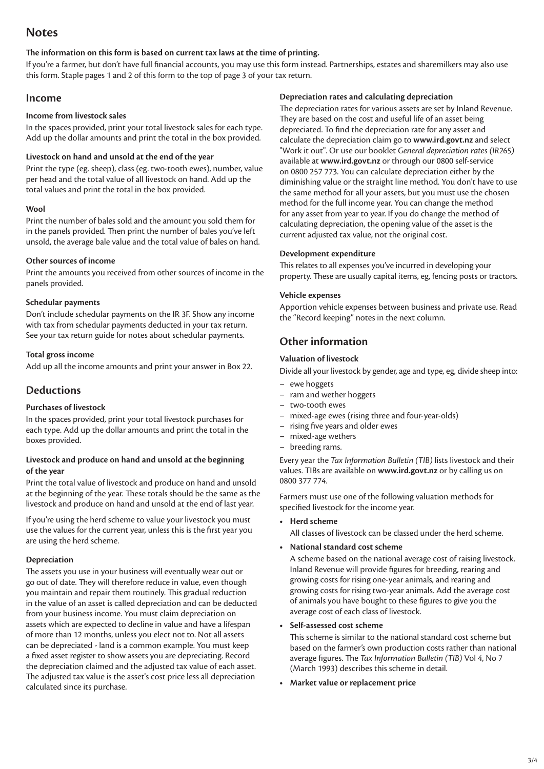# **Notes**

#### **The information on this form is based on current tax laws at the time of printing.**

If you're a farmer, but don't have full financial accounts, you may use this form instead. Partnerships, estates and sharemilkers may also use this form. Staple pages 1 and 2 of this form to the top of page 3 of your tax return.

### **Income**

#### **Income from livestock sales**

In the spaces provided, print your total livestock sales for each type. Add up the dollar amounts and print the total in the box provided.

#### **Livestock on hand and unsold at the end of the year**

Print the type (eg. sheep), class (eg. two-tooth ewes), number, value per head and the total value of all livestock on hand. Add up the total values and print the total in the box provided.

#### **Wool**

Print the number of bales sold and the amount you sold them for in the panels provided. Then print the number of bales you've left unsold, the average bale value and the total value of bales on hand.

#### **Other sources of income**

Print the amounts you received from other sources of income in the panels provided.

#### **Schedular payments**

Don't include schedular payments on the IR 3F. Show any income with tax from schedular payments deducted in your tax return. See your tax return guide for notes about schedular payments.

#### **Total gross income**

Add up all the income amounts and print your answer in Box 22.

## **Deductions**

#### **Purchases of livestock**

In the spaces provided, print your total livestock purchases for each type. Add up the dollar amounts and print the total in the boxes provided.

#### **Livestock and produce on hand and unsold at the beginning of the year**

Print the total value of livestock and produce on hand and unsold at the beginning of the year. These totals should be the same as the livestock and produce on hand and unsold at the end of last year.

If you're using the herd scheme to value your livestock you must use the values for the current year, unless this is the first year you are using the herd scheme.

#### **Depreciation**

The assets you use in your business will eventually wear out or go out of date. They will therefore reduce in value, even though you maintain and repair them routinely. This gradual reduction in the value of an asset is called depreciation and can be deducted from your business income. You must claim depreciation on assets which are expected to decline in value and have a lifespan of more than 12 months, unless you elect not to. Not all assets can be depreciated - land is a common example. You must keep a fixed asset register to show assets you are depreciating. Record the depreciation claimed and the adjusted tax value of each asset. The adjusted tax value is the asset's cost price less all depreciation calculated since its purchase.

#### **Depreciation rates and calculating depreciation**

The depreciation rates for various assets are set by Inland Revenue. They are based on the cost and useful life of an asset being depreciated. To find the depreciation rate for any asset and calculate the depreciation claim go to **[www.ird.govt.nz](http://www.ird.govt.nz)** and select "Work it out". Or use our booklet *General depreciation rates (IR265)* available at **[www.ird.govt.nz](http://www.ird.govt.nz)** or through our 0800 self-service on 0800 257 773. You can calculate depreciation either by the diminishing value or the straight line method. You don't have to use the same method for all your assets, but you must use the chosen method for the full income year. You can change the method for any asset from year to year. If you do change the method of calculating depreciation, the opening value of the asset is the current adjusted tax value, not the original cost.

#### **Development expenditure**

This relates to all expenses you've incurred in developing your property. These are usually capital items, eg, fencing posts or tractors.

#### **Vehicle expenses**

Apportion vehicle expenses between business and private use. Read the "Record keeping" notes in the next column.

# **Other information**

#### **Valuation of livestock**

Divide all your livestock by gender, age and type, eg, divide sheep into:

- ewe hoggets
- ram and wether hoggets
- two-tooth ewes
- mixed-age ewes (rising three and four-year-olds)
- rising five years and older ewes
- mixed-age wethers
- breeding rams.

Every year the *Tax Information Bulletin (TIB)* lists livestock and their values. TIBs are available on **[www.ird.govt.nz](http://www.ird.govt.nz)** or by calling us on 0800 377 774.

Farmers must use one of the following valuation methods for specified livestock for the income year.

**• Herd scheme**

All classes of livestock can be classed under the herd scheme.

**• National standard cost scheme**

 A scheme based on the national average cost of raising livestock. Inland Revenue will provide figures for breeding, rearing and growing costs for rising one-year animals, and rearing and growing costs for rising two-year animals. Add the average cost of animals you have bought to these figures to give you the average cost of each class of livestock.

#### **• Self-assessed cost scheme**

 This scheme is similar to the national standard cost scheme but based on the farmer's own production costs rather than national average figures. The *Tax Information Bulletin (TIB)* Vol 4, No 7 (March 1993) describes this scheme in detail.

**• Market value or replacement price**